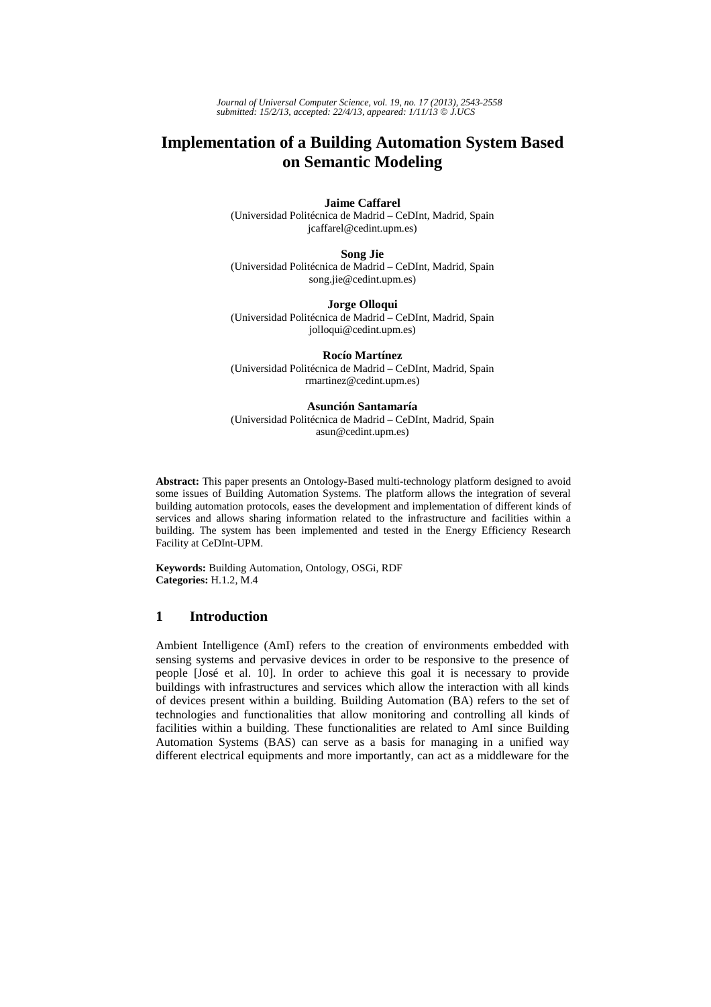*Journal of Universal Computer Science, vol. 19, no. 17 (2013), 2543-2558 submitted: 15/2/13, accepted: 22/4/13, appeared: 1/11/13* © *J.UCS*

# **Implementation of a Building Automation System Based on Semantic Modeling**

**Jaime Caffarel** 

(Universidad Politécnica de Madrid – CeDInt, Madrid, Spain jcaffarel@cedint.upm.es)

**Song Jie** 

(Universidad Politécnica de Madrid – CeDInt, Madrid, Spain song.jie@cedint.upm.es)

**Jorge Olloqui**  (Universidad Politécnica de Madrid – CeDInt, Madrid, Spain jolloqui@cedint.upm.es)

**Rocío Martínez**  (Universidad Politécnica de Madrid – CeDInt, Madrid, Spain rmartinez@cedint.upm.es)

**Asunción Santamaría** 

(Universidad Politécnica de Madrid – CeDInt, Madrid, Spain asun@cedint.upm.es)

**Abstract:** This paper presents an Ontology-Based multi-technology platform designed to avoid some issues of Building Automation Systems. The platform allows the integration of several building automation protocols, eases the development and implementation of different kinds of services and allows sharing information related to the infrastructure and facilities within a building. The system has been implemented and tested in the Energy Efficiency Research Facility at CeDInt-UPM.

**Keywords:** Building Automation, Ontology, OSGi, RDF **Categories:** H.1.2, M.4

# **1 Introduction**

Ambient Intelligence (AmI) refers to the creation of environments embedded with sensing systems and pervasive devices in order to be responsive to the presence of people [José et al. 10]. In order to achieve this goal it is necessary to provide buildings with infrastructures and services which allow the interaction with all kinds of devices present within a building. Building Automation (BA) refers to the set of technologies and functionalities that allow monitoring and controlling all kinds of facilities within a building. These functionalities are related to AmI since Building Automation Systems (BAS) can serve as a basis for managing in a unified way different electrical equipments and more importantly, can act as a middleware for the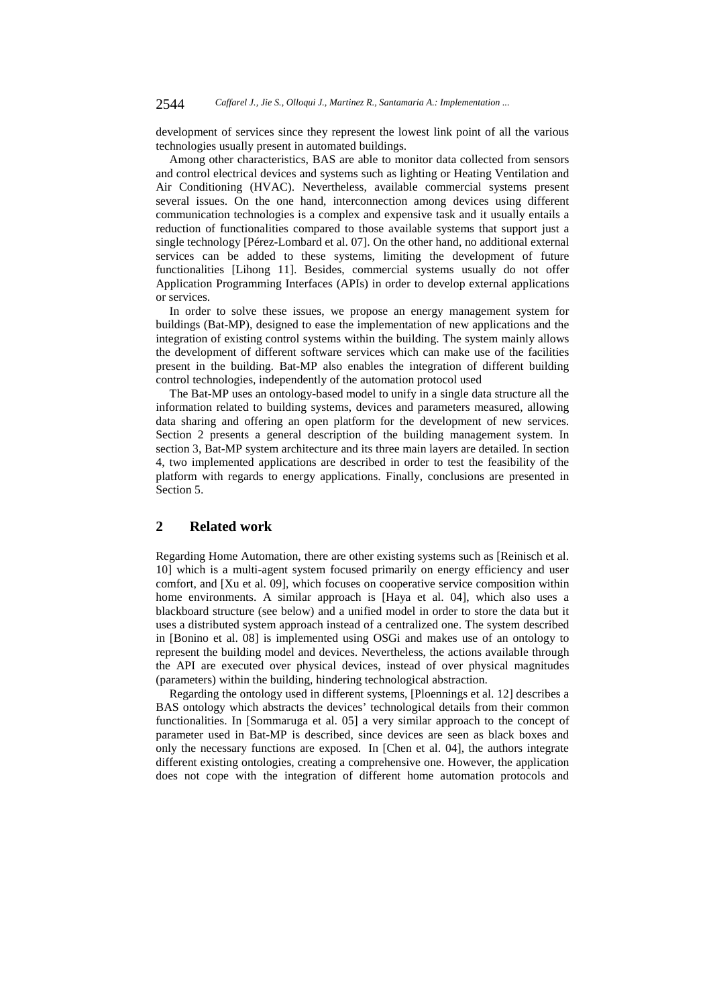development of services since they represent the lowest link point of all the various technologies usually present in automated buildings.

Among other characteristics, BAS are able to monitor data collected from sensors and control electrical devices and systems such as lighting or Heating Ventilation and Air Conditioning (HVAC). Nevertheless, available commercial systems present several issues. On the one hand, interconnection among devices using different communication technologies is a complex and expensive task and it usually entails a reduction of functionalities compared to those available systems that support just a single technology [Pérez-Lombard et al. 07]. On the other hand, no additional external services can be added to these systems, limiting the development of future functionalities [Lihong 11]. Besides, commercial systems usually do not offer Application Programming Interfaces (APIs) in order to develop external applications or services.

In order to solve these issues, we propose an energy management system for buildings (Bat-MP), designed to ease the implementation of new applications and the integration of existing control systems within the building. The system mainly allows the development of different software services which can make use of the facilities present in the building. Bat-MP also enables the integration of different building control technologies, independently of the automation protocol used

The Bat-MP uses an ontology-based model to unify in a single data structure all the information related to building systems, devices and parameters measured, allowing data sharing and offering an open platform for the development of new services. Section 2 presents a general description of the building management system. In section 3, Bat-MP system architecture and its three main layers are detailed. In section 4, two implemented applications are described in order to test the feasibility of the platform with regards to energy applications. Finally, conclusions are presented in Section 5.

# **2 Related work**

Regarding Home Automation, there are other existing systems such as [Reinisch et al. 10] which is a multi-agent system focused primarily on energy efficiency and user comfort, and [Xu et al. 09], which focuses on cooperative service composition within home environments. A similar approach is [Haya et al. 04], which also uses a blackboard structure (see below) and a unified model in order to store the data but it uses a distributed system approach instead of a centralized one. The system described in [Bonino et al. 08] is implemented using OSGi and makes use of an ontology to represent the building model and devices. Nevertheless, the actions available through the API are executed over physical devices, instead of over physical magnitudes (parameters) within the building, hindering technological abstraction.

Regarding the ontology used in different systems, [Ploennings et al. 12] describes a BAS ontology which abstracts the devices' technological details from their common functionalities. In [Sommaruga et al. 05] a very similar approach to the concept of parameter used in Bat-MP is described, since devices are seen as black boxes and only the necessary functions are exposed. In [Chen et al. 04], the authors integrate different existing ontologies, creating a comprehensive one. However, the application does not cope with the integration of different home automation protocols and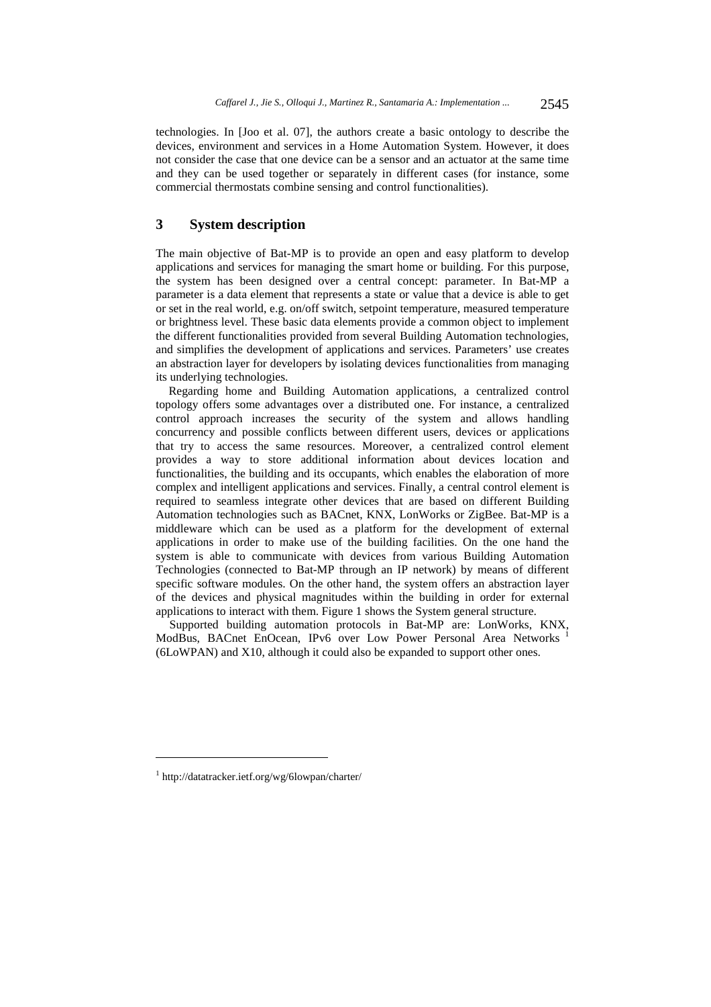technologies. In [Joo et al. 07], the authors create a basic ontology to describe the devices, environment and services in a Home Automation System. However, it does not consider the case that one device can be a sensor and an actuator at the same time and they can be used together or separately in different cases (for instance, some commercial thermostats combine sensing and control functionalities).

# **3 System description**

The main objective of Bat-MP is to provide an open and easy platform to develop applications and services for managing the smart home or building. For this purpose, the system has been designed over a central concept: parameter. In Bat-MP a parameter is a data element that represents a state or value that a device is able to get or set in the real world, e.g. on/off switch, setpoint temperature, measured temperature or brightness level. These basic data elements provide a common object to implement the different functionalities provided from several Building Automation technologies, and simplifies the development of applications and services. Parameters' use creates an abstraction layer for developers by isolating devices functionalities from managing its underlying technologies.

Regarding home and Building Automation applications, a centralized control topology offers some advantages over a distributed one. For instance, a centralized control approach increases the security of the system and allows handling concurrency and possible conflicts between different users, devices or applications that try to access the same resources. Moreover, a centralized control element provides a way to store additional information about devices location and functionalities, the building and its occupants, which enables the elaboration of more complex and intelligent applications and services. Finally, a central control element is required to seamless integrate other devices that are based on different Building Automation technologies such as BACnet, KNX, LonWorks or ZigBee. Bat-MP is a middleware which can be used as a platform for the development of external applications in order to make use of the building facilities. On the one hand the system is able to communicate with devices from various Building Automation Technologies (connected to Bat-MP through an IP network) by means of different specific software modules. On the other hand, the system offers an abstraction layer of the devices and physical magnitudes within the building in order for external applications to interact with them. Figure 1 shows the System general structure.

Supported building automation protocols in Bat-MP are: LonWorks, KNX, ModBus, BACnet EnOcean, IPv6 over Low Power Personal Area Networks <sup>1</sup> (6LoWPAN) and X10, although it could also be expanded to support other ones.

<sup>1</sup> http://datatracker.ietf.org/wg/6lowpan/charter/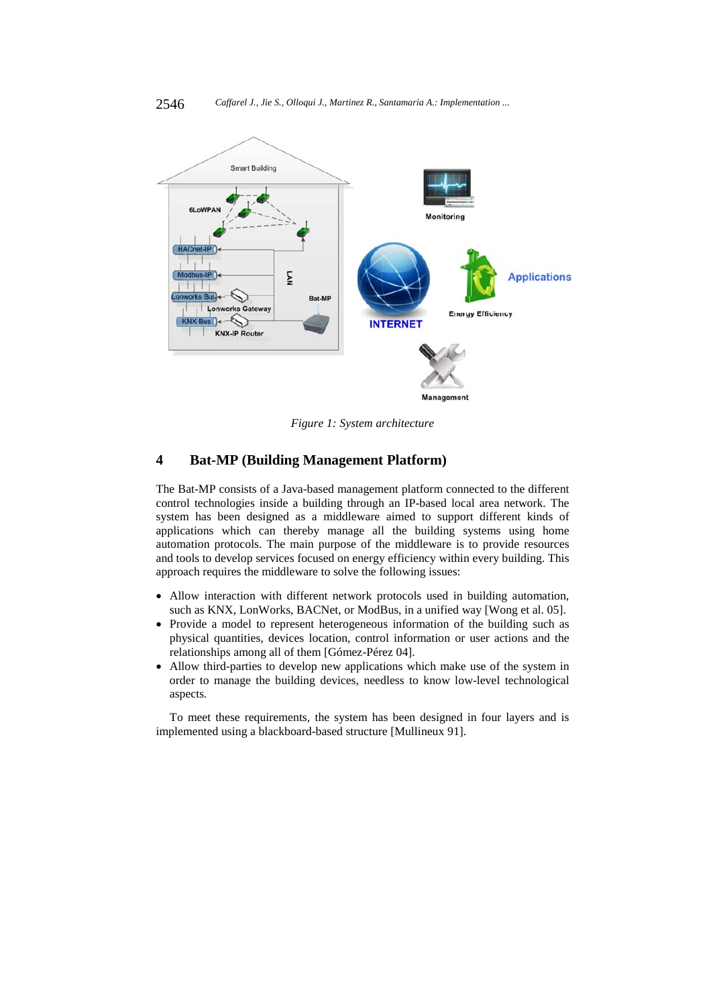

*Figure 1: System architecture* 

# **4 Bat-MP (Building Management Platform)**

The Bat-MP consists of a Java-based management platform connected to the different control technologies inside a building through an IP-based local area network. The system has been designed as a middleware aimed to support different kinds of applications which can thereby manage all the building systems using home automation protocols. The main purpose of the middleware is to provide resources and tools to develop services focused on energy efficiency within every building. This approach requires the middleware to solve the following issues:

- Allow interaction with different network protocols used in building automation, such as KNX, LonWorks, BACNet, or ModBus, in a unified way [Wong et al. 05].
- Provide a model to represent heterogeneous information of the building such as physical quantities, devices location, control information or user actions and the relationships among all of them [Gómez-Pérez 04].
- Allow third-parties to develop new applications which make use of the system in order to manage the building devices, needless to know low-level technological aspects.

To meet these requirements, the system has been designed in four layers and is implemented using a blackboard-based structure [Mullineux 91].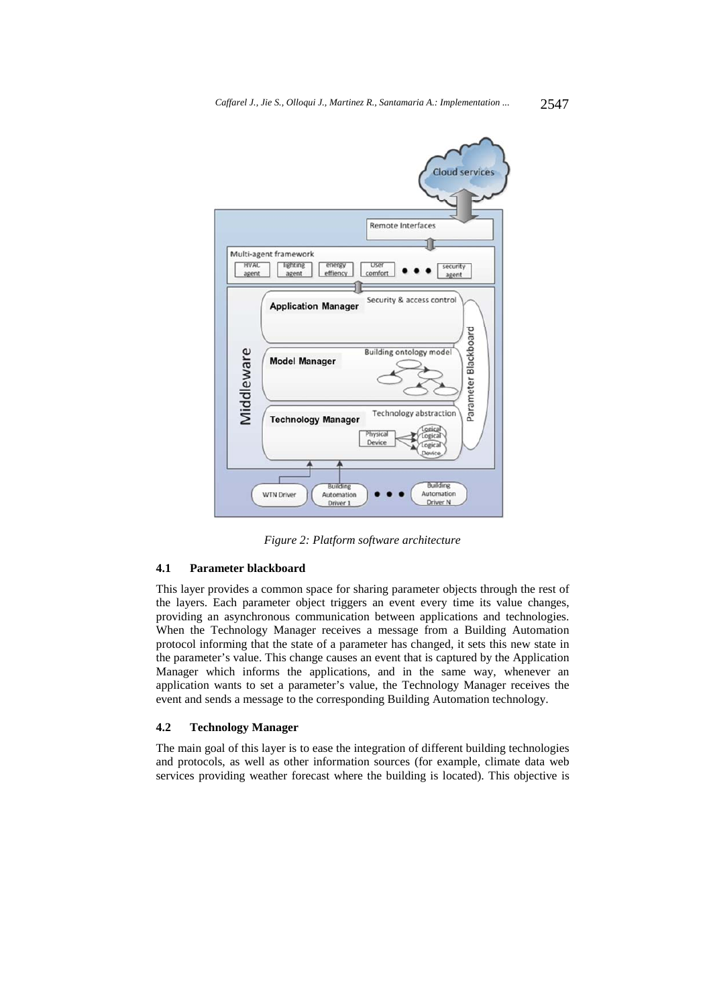

*Figure 2: Platform software architecture* 

# **4.1 Parameter blackboard**

This layer provides a common space for sharing parameter objects through the rest of the layers. Each parameter object triggers an event every time its value changes, providing an asynchronous communication between applications and technologies. When the Technology Manager receives a message from a Building Automation protocol informing that the state of a parameter has changed, it sets this new state in the parameter's value. This change causes an event that is captured by the Application Manager which informs the applications, and in the same way, whenever an application wants to set a parameter's value, the Technology Manager receives the event and sends a message to the corresponding Building Automation technology.

#### **4.2 Technology Manager**

The main goal of this layer is to ease the integration of different building technologies and protocols, as well as other information sources (for example, climate data web services providing weather forecast where the building is located). This objective is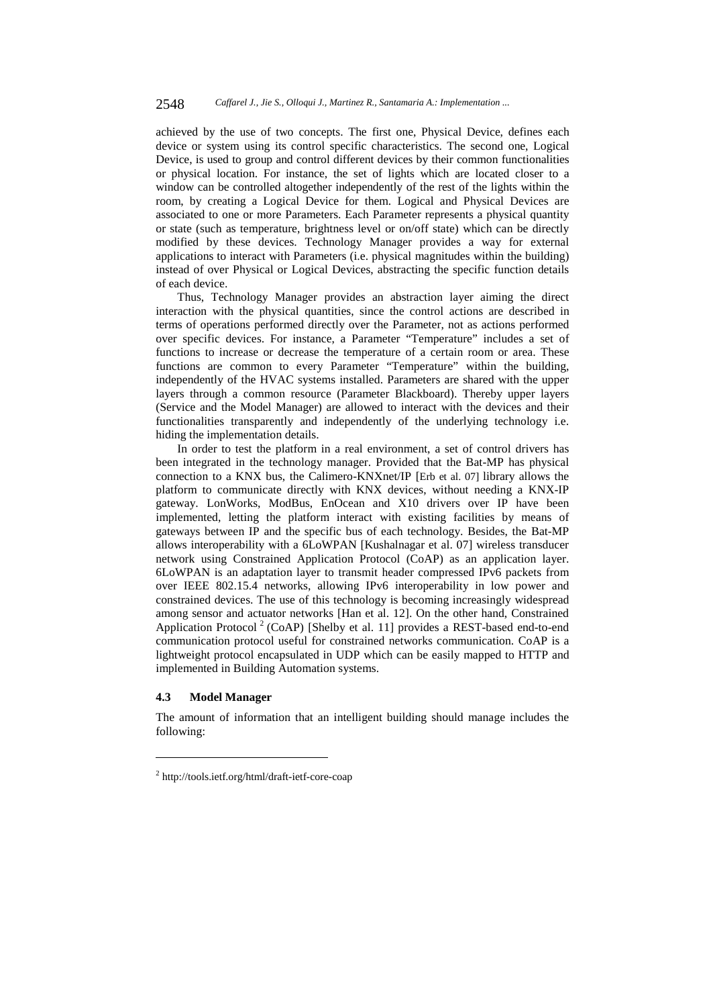achieved by the use of two concepts. The first one, Physical Device, defines each device or system using its control specific characteristics. The second one, Logical Device, is used to group and control different devices by their common functionalities or physical location. For instance, the set of lights which are located closer to a window can be controlled altogether independently of the rest of the lights within the room, by creating a Logical Device for them. Logical and Physical Devices are associated to one or more Parameters. Each Parameter represents a physical quantity or state (such as temperature, brightness level or on/off state) which can be directly modified by these devices. Technology Manager provides a way for external applications to interact with Parameters (i.e. physical magnitudes within the building) instead of over Physical or Logical Devices, abstracting the specific function details of each device.

Thus, Technology Manager provides an abstraction layer aiming the direct interaction with the physical quantities, since the control actions are described in terms of operations performed directly over the Parameter, not as actions performed over specific devices. For instance, a Parameter "Temperature" includes a set of functions to increase or decrease the temperature of a certain room or area. These functions are common to every Parameter "Temperature" within the building, independently of the HVAC systems installed. Parameters are shared with the upper layers through a common resource (Parameter Blackboard). Thereby upper layers (Service and the Model Manager) are allowed to interact with the devices and their functionalities transparently and independently of the underlying technology i.e. hiding the implementation details.

In order to test the platform in a real environment, a set of control drivers has been integrated in the technology manager. Provided that the Bat-MP has physical connection to a KNX bus, the Calimero-KNXnet/IP [Erb et al. 07] library allows the platform to communicate directly with KNX devices, without needing a KNX-IP gateway. LonWorks, ModBus, EnOcean and X10 drivers over IP have been implemented, letting the platform interact with existing facilities by means of gateways between IP and the specific bus of each technology. Besides, the Bat-MP allows interoperability with a 6LoWPAN [Kushalnagar et al. 07] wireless transducer network using Constrained Application Protocol (CoAP) as an application layer. 6LoWPAN is an adaptation layer to transmit header compressed IPv6 packets from over IEEE 802.15.4 networks, allowing IPv6 interoperability in low power and constrained devices. The use of this technology is becoming increasingly widespread among sensor and actuator networks [Han et al. 12]. On the other hand, Constrained Application Protocol<sup>2</sup> (CoAP) [Shelby et al. 11] provides a REST-based end-to-end communication protocol useful for constrained networks communication. CoAP is a lightweight protocol encapsulated in UDP which can be easily mapped to HTTP and implemented in Building Automation systems.

#### **4.3 Model Manager**

l

The amount of information that an intelligent building should manage includes the following:

<sup>2</sup> http://tools.ietf.org/html/draft-ietf-core-coap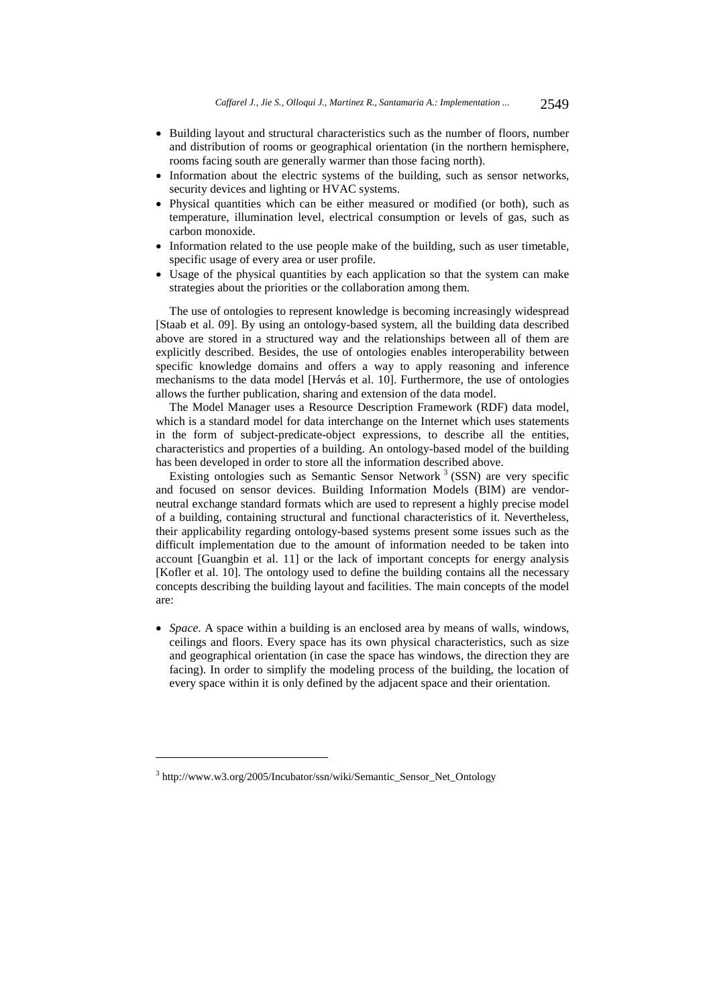- Building layout and structural characteristics such as the number of floors, number and distribution of rooms or geographical orientation (in the northern hemisphere, rooms facing south are generally warmer than those facing north).
- Information about the electric systems of the building, such as sensor networks, security devices and lighting or HVAC systems.
- Physical quantities which can be either measured or modified (or both), such as temperature, illumination level, electrical consumption or levels of gas, such as carbon monoxide.
- Information related to the use people make of the building, such as user timetable, specific usage of every area or user profile.
- Usage of the physical quantities by each application so that the system can make strategies about the priorities or the collaboration among them.

The use of ontologies to represent knowledge is becoming increasingly widespread [Staab et al. 09]. By using an ontology-based system, all the building data described above are stored in a structured way and the relationships between all of them are explicitly described. Besides, the use of ontologies enables interoperability between specific knowledge domains and offers a way to apply reasoning and inference mechanisms to the data model [Hervás et al. 10]. Furthermore, the use of ontologies allows the further publication, sharing and extension of the data model.

The Model Manager uses a Resource Description Framework (RDF) data model, which is a standard model for data interchange on the Internet which uses statements in the form of subject-predicate-object expressions, to describe all the entities, characteristics and properties of a building. An ontology-based model of the building has been developed in order to store all the information described above.

Existing ontologies such as Semantic Sensor Network<sup>3</sup> (SSN) are very specific and focused on sensor devices. Building Information Models (BIM) are vendorneutral exchange standard formats which are used to represent a highly precise model of a building, containing structural and functional characteristics of it. Nevertheless, their applicability regarding ontology-based systems present some issues such as the difficult implementation due to the amount of information needed to be taken into account [Guangbin et al. 11] or the lack of important concepts for energy analysis [Kofler et al. 10]. The ontology used to define the building contains all the necessary concepts describing the building layout and facilities. The main concepts of the model are:

 *Space*. A space within a building is an enclosed area by means of walls, windows, ceilings and floors. Every space has its own physical characteristics, such as size and geographical orientation (in case the space has windows, the direction they are facing). In order to simplify the modeling process of the building, the location of every space within it is only defined by the adjacent space and their orientation.

<sup>&</sup>lt;sup>3</sup> http://www.w3.org/2005/Incubator/ssn/wiki/Semantic\_Sensor\_Net\_Ontology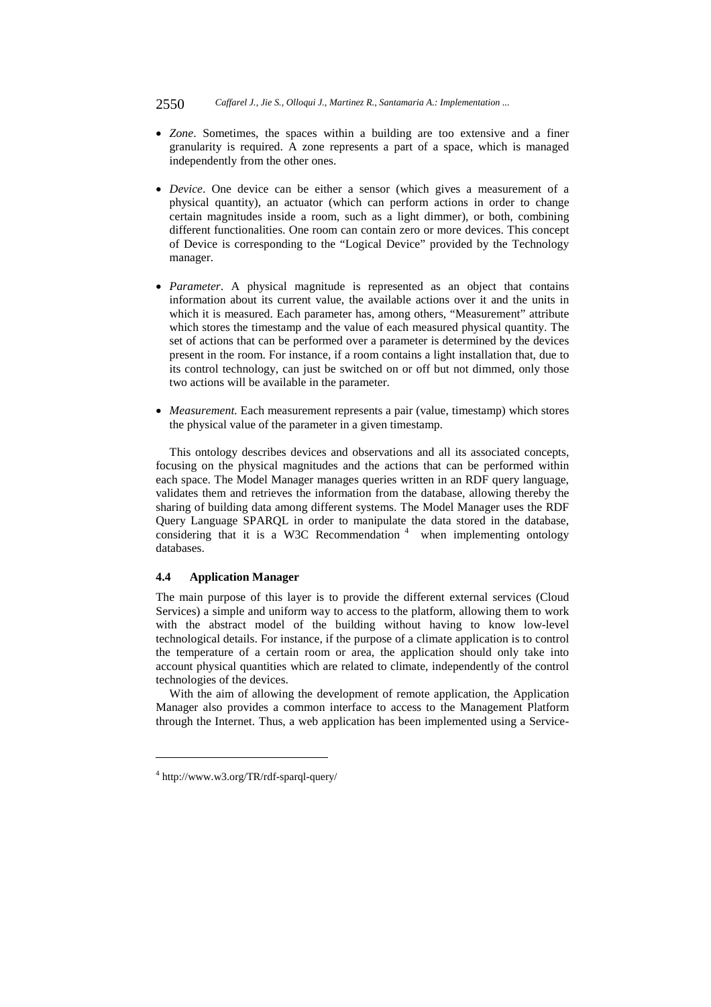- *Zone*. Sometimes, the spaces within a building are too extensive and a finer granularity is required. A zone represents a part of a space, which is managed independently from the other ones.
- *Device*. One device can be either a sensor (which gives a measurement of a physical quantity), an actuator (which can perform actions in order to change certain magnitudes inside a room, such as a light dimmer), or both, combining different functionalities. One room can contain zero or more devices. This concept of Device is corresponding to the "Logical Device" provided by the Technology manager.
- *Parameter*. A physical magnitude is represented as an object that contains information about its current value, the available actions over it and the units in which it is measured. Each parameter has, among others, "Measurement" attribute which stores the timestamp and the value of each measured physical quantity. The set of actions that can be performed over a parameter is determined by the devices present in the room. For instance, if a room contains a light installation that, due to its control technology, can just be switched on or off but not dimmed, only those two actions will be available in the parameter.
- *Measurement.* Each measurement represents a pair (value, timestamp) which stores the physical value of the parameter in a given timestamp.

This ontology describes devices and observations and all its associated concepts, focusing on the physical magnitudes and the actions that can be performed within each space. The Model Manager manages queries written in an RDF query language, validates them and retrieves the information from the database, allowing thereby the sharing of building data among different systems. The Model Manager uses the RDF Query Language SPARQL in order to manipulate the data stored in the database, considering that it is a W3C Recommendation  $4$  when implementing ontology databases.

#### **4.4 Application Manager**

The main purpose of this layer is to provide the different external services (Cloud Services) a simple and uniform way to access to the platform, allowing them to work with the abstract model of the building without having to know low-level technological details. For instance, if the purpose of a climate application is to control the temperature of a certain room or area, the application should only take into account physical quantities which are related to climate, independently of the control technologies of the devices.

With the aim of allowing the development of remote application, the Application Manager also provides a common interface to access to the Management Platform through the Internet. Thus, a web application has been implemented using a Service-

<sup>4</sup> http://www.w3.org/TR/rdf-sparql-query/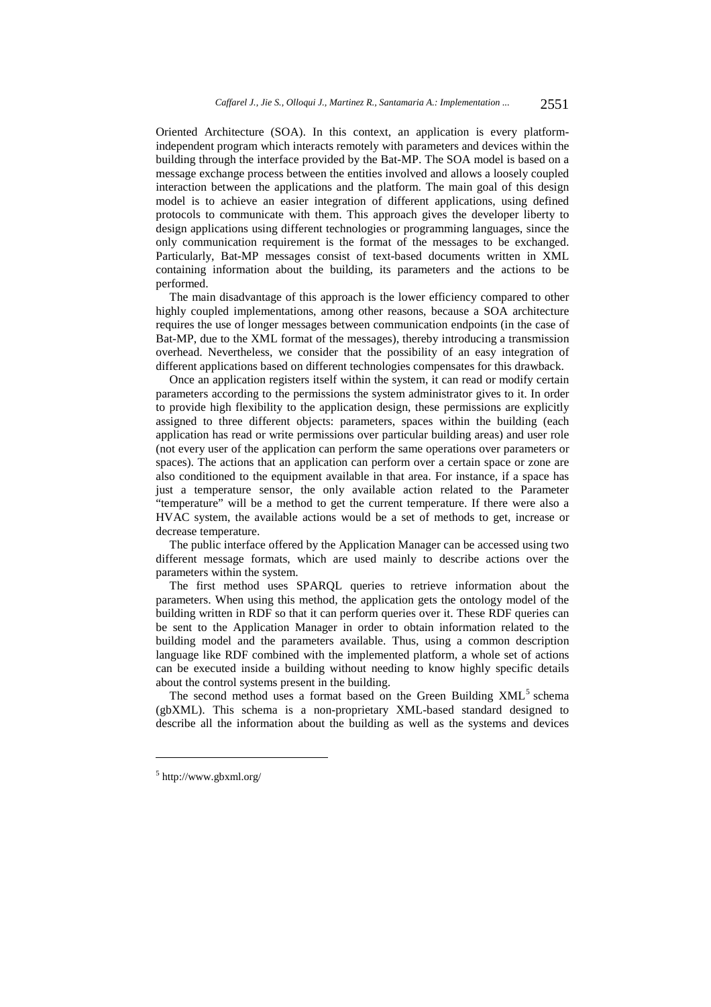Oriented Architecture (SOA). In this context, an application is every platformindependent program which interacts remotely with parameters and devices within the building through the interface provided by the Bat-MP. The SOA model is based on a message exchange process between the entities involved and allows a loosely coupled interaction between the applications and the platform. The main goal of this design model is to achieve an easier integration of different applications, using defined protocols to communicate with them. This approach gives the developer liberty to design applications using different technologies or programming languages, since the only communication requirement is the format of the messages to be exchanged. Particularly, Bat-MP messages consist of text-based documents written in XML containing information about the building, its parameters and the actions to be performed.

The main disadvantage of this approach is the lower efficiency compared to other highly coupled implementations, among other reasons, because a SOA architecture requires the use of longer messages between communication endpoints (in the case of Bat-MP, due to the XML format of the messages), thereby introducing a transmission overhead. Nevertheless, we consider that the possibility of an easy integration of different applications based on different technologies compensates for this drawback.

Once an application registers itself within the system, it can read or modify certain parameters according to the permissions the system administrator gives to it. In order to provide high flexibility to the application design, these permissions are explicitly assigned to three different objects: parameters, spaces within the building (each application has read or write permissions over particular building areas) and user role (not every user of the application can perform the same operations over parameters or spaces). The actions that an application can perform over a certain space or zone are also conditioned to the equipment available in that area. For instance, if a space has just a temperature sensor, the only available action related to the Parameter "temperature" will be a method to get the current temperature. If there were also a HVAC system, the available actions would be a set of methods to get, increase or decrease temperature.

The public interface offered by the Application Manager can be accessed using two different message formats, which are used mainly to describe actions over the parameters within the system.

The first method uses SPARQL queries to retrieve information about the parameters. When using this method, the application gets the ontology model of the building written in RDF so that it can perform queries over it. These RDF queries can be sent to the Application Manager in order to obtain information related to the building model and the parameters available. Thus, using a common description language like RDF combined with the implemented platform, a whole set of actions can be executed inside a building without needing to know highly specific details about the control systems present in the building.

The second method uses a format based on the Green Building XML<sup>5</sup> schema (gbXML). This schema is a non-proprietary XML-based standard designed to describe all the information about the building as well as the systems and devices

<sup>5</sup> http://www.gbxml.org/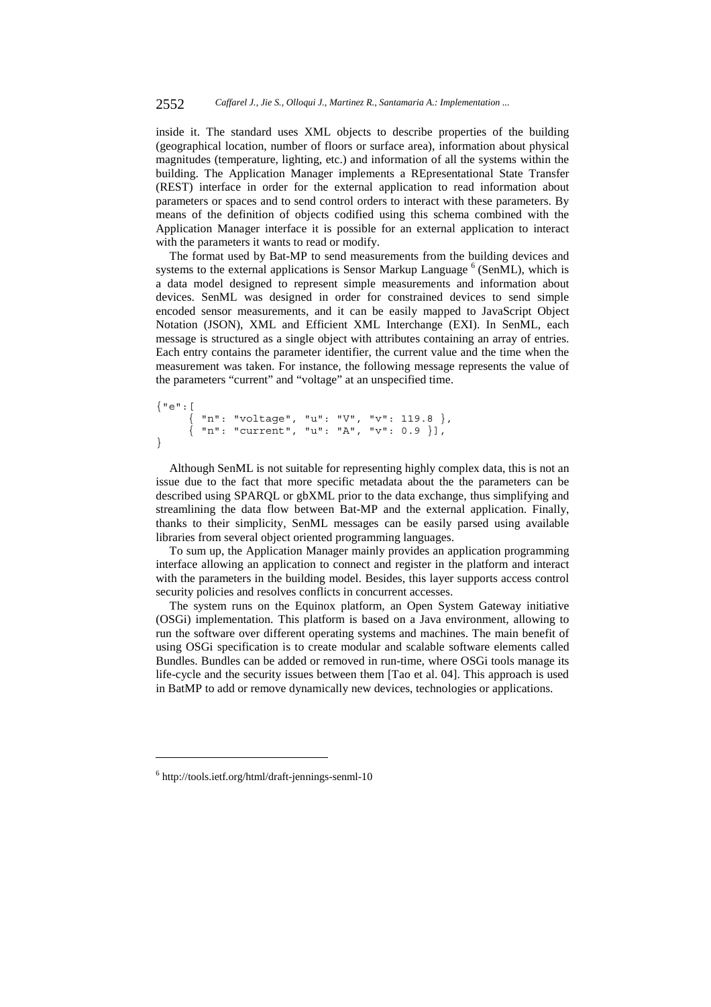inside it. The standard uses XML objects to describe properties of the building (geographical location, number of floors or surface area), information about physical magnitudes (temperature, lighting, etc.) and information of all the systems within the building. The Application Manager implements a REpresentational State Transfer (REST) interface in order for the external application to read information about parameters or spaces and to send control orders to interact with these parameters. By means of the definition of objects codified using this schema combined with the Application Manager interface it is possible for an external application to interact with the parameters it wants to read or modify.

The format used by Bat-MP to send measurements from the building devices and systems to the external applications is Sensor Markup Language  $<sup>6</sup>$  (SenML), which is</sup> a data model designed to represent simple measurements and information about devices. SenML was designed in order for constrained devices to send simple encoded sensor measurements, and it can be easily mapped to JavaScript Object Notation (JSON), XML and Efficient XML Interchange (EXI). In SenML, each message is structured as a single object with attributes containing an array of entries. Each entry contains the parameter identifier, the current value and the time when the measurement was taken. For instance, the following message represents the value of the parameters "current" and "voltage" at an unspecified time.

```
{"e":[ 
 { "n": "voltage", "u": "V", "v": 119.8 }, 
 { "n": "current", "u": "A", "v": 0.9 }], 
}
```
Although SenML is not suitable for representing highly complex data, this is not an issue due to the fact that more specific metadata about the the parameters can be described using SPARQL or gbXML prior to the data exchange, thus simplifying and streamlining the data flow between Bat-MP and the external application. Finally, thanks to their simplicity, SenML messages can be easily parsed using available libraries from several object oriented programming languages.

To sum up, the Application Manager mainly provides an application programming interface allowing an application to connect and register in the platform and interact with the parameters in the building model. Besides, this layer supports access control security policies and resolves conflicts in concurrent accesses.

The system runs on the Equinox platform, an Open System Gateway initiative (OSGi) implementation. This platform is based on a Java environment, allowing to run the software over different operating systems and machines. The main benefit of using OSGi specification is to create modular and scalable software elements called Bundles. Bundles can be added or removed in run-time, where OSGi tools manage its life-cycle and the security issues between them [Tao et al. 04]. This approach is used in BatMP to add or remove dynamically new devices, technologies or applications.

<sup>6</sup> http://tools.ietf.org/html/draft-jennings-senml-10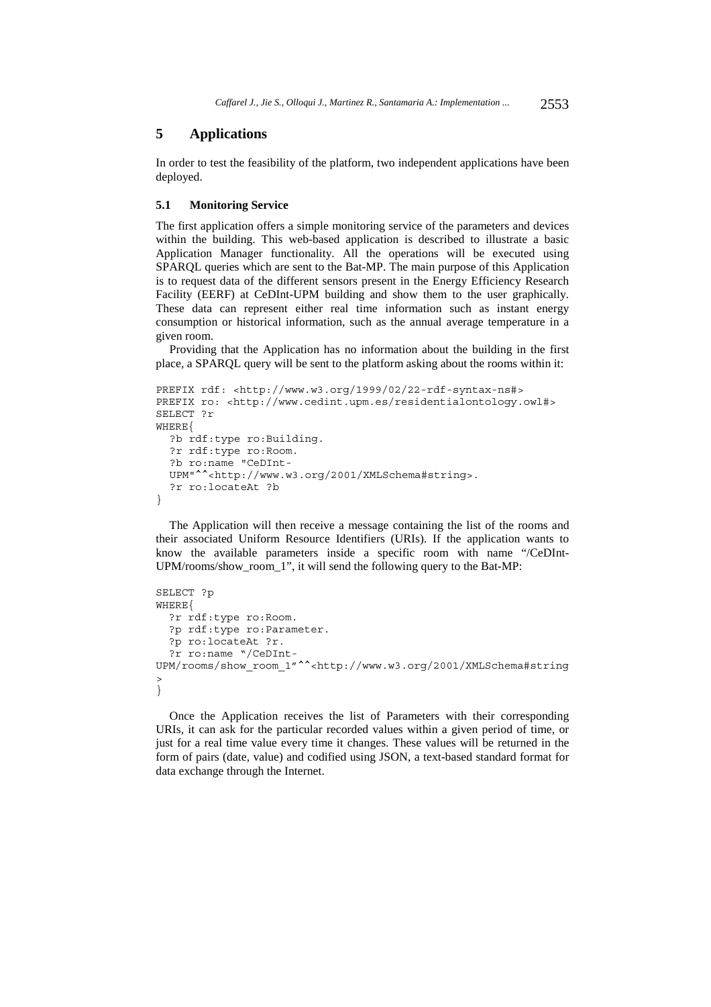# **5 Applications**

In order to test the feasibility of the platform, two independent applications have been deployed.

### **5.1 Monitoring Service**

The first application offers a simple monitoring service of the parameters and devices within the building. This web-based application is described to illustrate a basic Application Manager functionality. All the operations will be executed using SPARQL queries which are sent to the Bat-MP. The main purpose of this Application is to request data of the different sensors present in the Energy Efficiency Research Facility (EERF) at CeDInt-UPM building and show them to the user graphically. These data can represent either real time information such as instant energy consumption or historical information, such as the annual average temperature in a given room.

Providing that the Application has no information about the building in the first place, a SPARQL query will be sent to the platform asking about the rooms within it:

```
PREFIX rdf: <http://www.w3.org/1999/02/22-rdf-syntax-ns#> 
PREFIX ro: <http://www.cedint.upm.es/residentialontology.owl#>
SELECT ?r 
WHERE{ 
  ?b rdf:type ro:Building. 
  ?r rdf:type ro:Room. 
  ?b ro:name "CeDInt-
  UPM"^^<http://www.w3.org/2001/XMLSchema#string>. 
  ?r ro:locateAt ?b 
}
```
The Application will then receive a message containing the list of the rooms and their associated Uniform Resource Identifiers (URIs). If the application wants to know the available parameters inside a specific room with name "/CeDInt-UPM/rooms/show\_room\_1", it will send the following query to the Bat-MP:

```
SELECT ?p 
WHERE{ 
   ?r rdf:type ro:Room. 
   ?p rdf:type ro:Parameter. 
   ?p ro:locateAt ?r. 
   ?r ro:name "/CeDInt-
UPM/rooms/show_room_1"^^<http://www.w3.org/2001/XMLSchema#string
> 
}
```
Once the Application receives the list of Parameters with their corresponding URIs, it can ask for the particular recorded values within a given period of time, or just for a real time value every time it changes. These values will be returned in the form of pairs (date, value) and codified using JSON, a text-based standard format for data exchange through the Internet.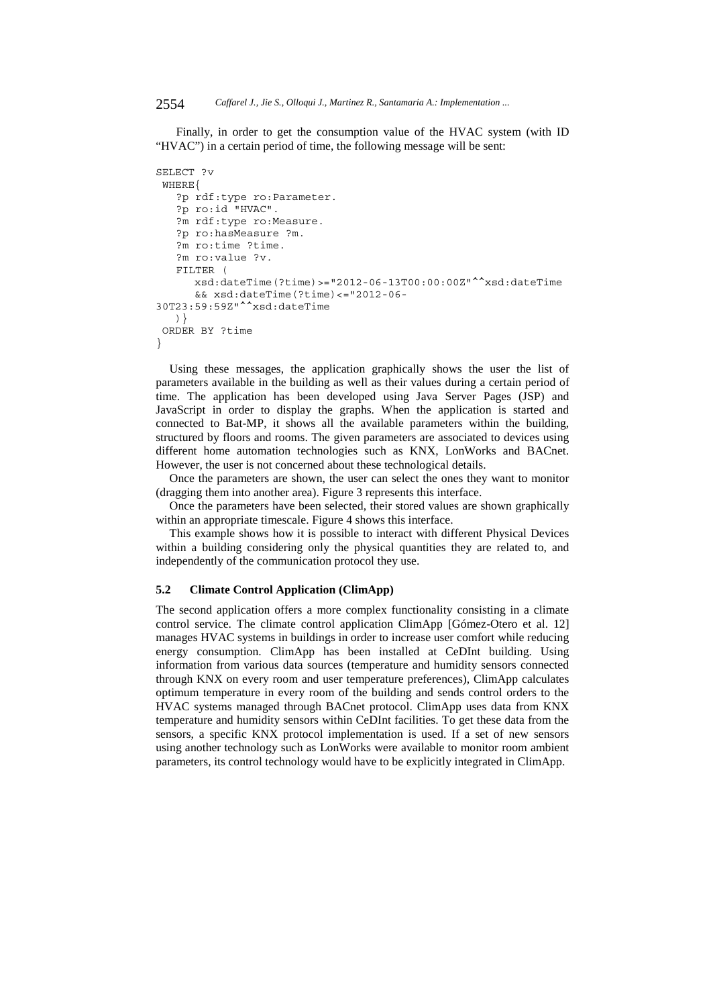Finally, in order to get the consumption value of the HVAC system (with ID "HVAC") in a certain period of time, the following message will be sent:

```
SELECT ?v 
 WHERE{ 
    ?p rdf:type ro:Parameter. 
    ?p ro:id "HVAC". 
    ?m rdf:type ro:Measure. 
    ?p ro:hasMeasure ?m. 
    ?m ro:time ?time. 
    ?m ro:value ?v. 
    FILTER ( 
       xsd:dateTime(?time)>="2012-06-13T00:00:00Z"^^xsd:dateTime 
       && xsd:dateTime(?time)<="2012-06-
30T23:59:59Z"^^xsd:dateTime 
    )} 
 ORDER BY ?time 
}
```
Using these messages, the application graphically shows the user the list of parameters available in the building as well as their values during a certain period of time. The application has been developed using Java Server Pages (JSP) and JavaScript in order to display the graphs. When the application is started and connected to Bat-MP, it shows all the available parameters within the building, structured by floors and rooms. The given parameters are associated to devices using different home automation technologies such as KNX, LonWorks and BACnet. However, the user is not concerned about these technological details.

Once the parameters are shown, the user can select the ones they want to monitor (dragging them into another area). Figure 3 represents this interface.

Once the parameters have been selected, their stored values are shown graphically within an appropriate timescale. Figure 4 shows this interface.

This example shows how it is possible to interact with different Physical Devices within a building considering only the physical quantities they are related to, and independently of the communication protocol they use.

#### **5.2 Climate Control Application (ClimApp)**

The second application offers a more complex functionality consisting in a climate control service. The climate control application ClimApp [Gómez-Otero et al. 12] manages HVAC systems in buildings in order to increase user comfort while reducing energy consumption. ClimApp has been installed at CeDInt building. Using information from various data sources (temperature and humidity sensors connected through KNX on every room and user temperature preferences), ClimApp calculates optimum temperature in every room of the building and sends control orders to the HVAC systems managed through BACnet protocol. ClimApp uses data from KNX temperature and humidity sensors within CeDInt facilities. To get these data from the sensors, a specific KNX protocol implementation is used. If a set of new sensors using another technology such as LonWorks were available to monitor room ambient parameters, its control technology would have to be explicitly integrated in ClimApp.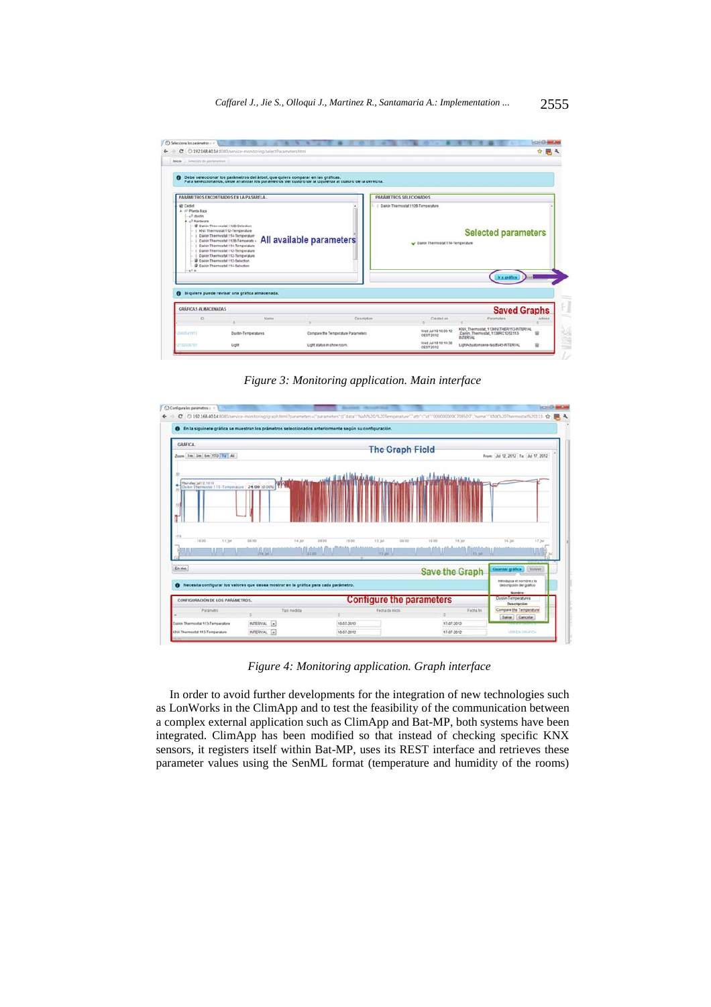

*Figure 3: Monitoring application. Main interface* 



*Figure 4: Monitoring application. Graph interface* 

In order to avoid further developments for the integration of new technologies such as LonWorks in the ClimApp and to test the feasibility of the communication between a complex external application such as ClimApp and Bat-MP, both systems have been integrated. ClimApp has been modified so that instead of checking specific KNX sensors, it registers itself within Bat-MP, uses its REST interface and retrieves these parameter values using the SenML format (temperature and humidity of the rooms)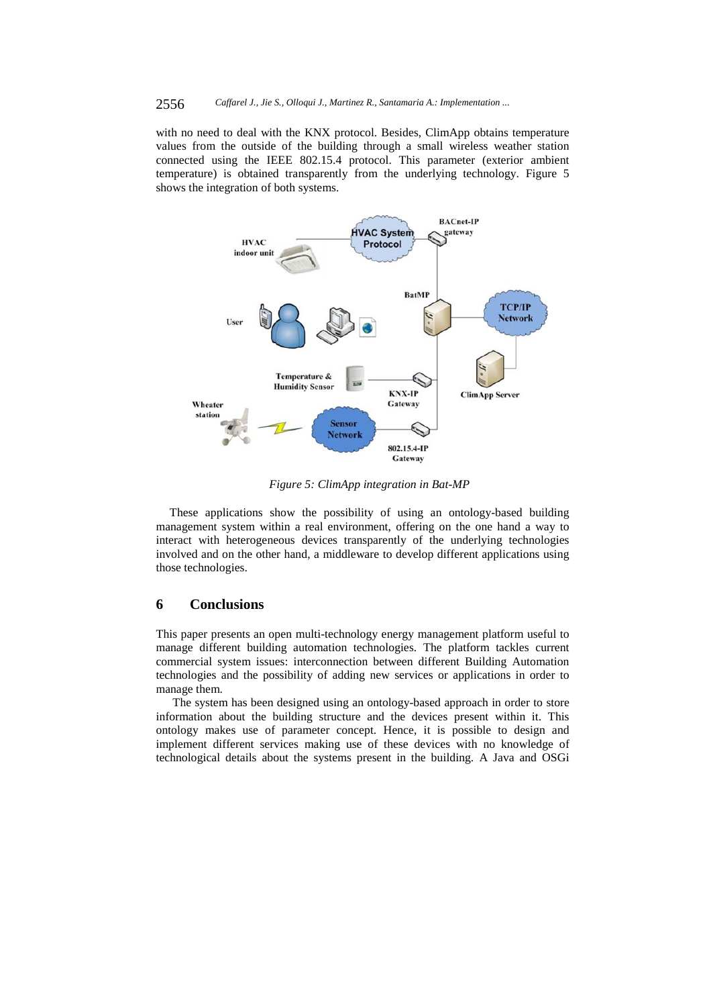#### 2556 *Caffarel J., Jie S., Olloqui J., Martinez R., Santamaria A.: Implementation ...*

with no need to deal with the KNX protocol. Besides, ClimApp obtains temperature values from the outside of the building through a small wireless weather station connected using the IEEE 802.15.4 protocol. This parameter (exterior ambient temperature) is obtained transparently from the underlying technology. Figure 5 shows the integration of both systems.



*Figure 5: ClimApp integration in Bat-MP* 

These applications show the possibility of using an ontology-based building management system within a real environment, offering on the one hand a way to interact with heterogeneous devices transparently of the underlying technologies involved and on the other hand, a middleware to develop different applications using those technologies.

# **6 Conclusions**

This paper presents an open multi-technology energy management platform useful to manage different building automation technologies. The platform tackles current commercial system issues: interconnection between different Building Automation technologies and the possibility of adding new services or applications in order to manage them.

 The system has been designed using an ontology-based approach in order to store information about the building structure and the devices present within it. This ontology makes use of parameter concept. Hence, it is possible to design and implement different services making use of these devices with no knowledge of technological details about the systems present in the building. A Java and OSGi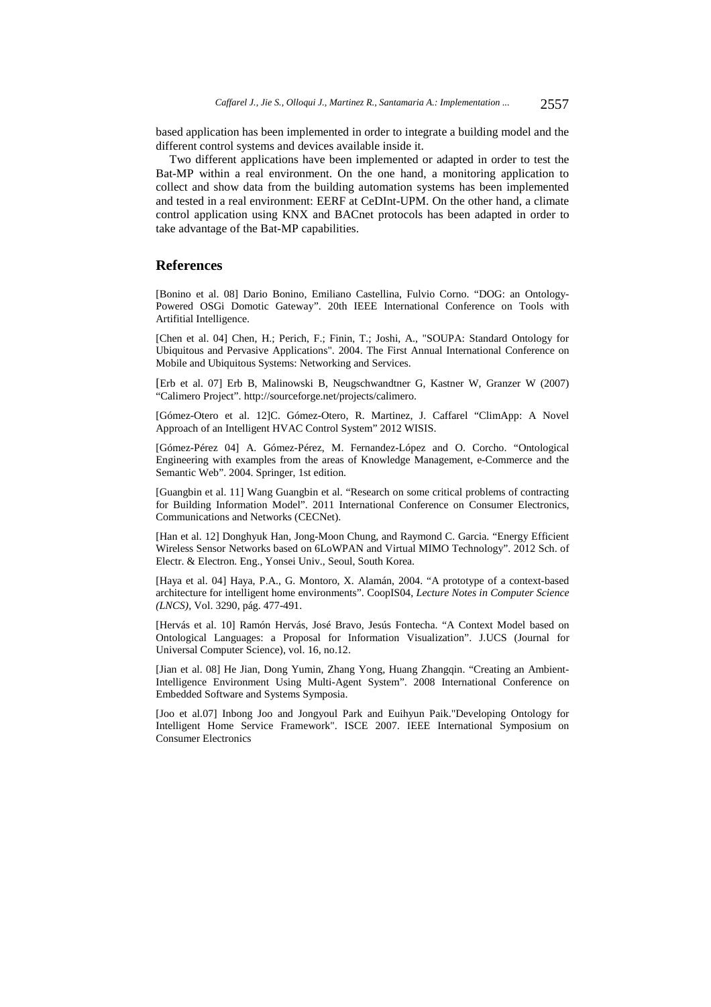based application has been implemented in order to integrate a building model and the different control systems and devices available inside it.

Two different applications have been implemented or adapted in order to test the Bat-MP within a real environment. On the one hand, a monitoring application to collect and show data from the building automation systems has been implemented and tested in a real environment: EERF at CeDInt-UPM. On the other hand, a climate control application using KNX and BACnet protocols has been adapted in order to take advantage of the Bat-MP capabilities.

# **References**

[Bonino et al. 08] Dario Bonino, Emiliano Castellina, Fulvio Corno. "DOG: an Ontology-Powered OSGi Domotic Gateway". 20th IEEE International Conference on Tools with Artifitial Intelligence.

[Chen et al. 04] Chen, H.; Perich, F.; Finin, T.; Joshi, A., "SOUPA: Standard Ontology for Ubiquitous and Pervasive Applications". 2004. The First Annual International Conference on Mobile and Ubiquitous Systems: Networking and Services.

[Erb et al. 07] Erb B, Malinowski B, Neugschwandtner G, Kastner W, Granzer W (2007) "Calimero Project". http://sourceforge.net/projects/calimero.

[Gómez-Otero et al. 12]C. Gómez-Otero, R. Martinez, J. Caffarel "ClimApp: A Novel Approach of an Intelligent HVAC Control System" 2012 WISIS.

[Gómez-Pérez 04] A. Gómez-Pérez, M. Fernandez-López and O. Corcho. "Ontological Engineering with examples from the areas of Knowledge Management, e-Commerce and the Semantic Web". 2004. Springer, 1st edition.

[Guangbin et al. 11] Wang Guangbin et al. "Research on some critical problems of contracting for Building Information Model". 2011 International Conference on Consumer Electronics, Communications and Networks (CECNet).

[Han et al. 12] Donghyuk Han, Jong-Moon Chung, and Raymond C. Garcia. "Energy Efficient Wireless Sensor Networks based on 6LoWPAN and Virtual MIMO Technology". 2012 Sch. of Electr. & Electron. Eng., Yonsei Univ., Seoul, South Korea.

[Haya et al. 04] Haya, P.A., G. Montoro, X. Alamán, 2004. "A prototype of a context-based architecture for intelligent home environments". CoopIS04, *Lecture Notes in Computer Science (LNCS),* Vol. 3290, pág. 477-491.

[Hervás et al. 10] Ramón Hervás, José Bravo, Jesús Fontecha. "A Context Model based on Ontological Languages: a Proposal for Information Visualization". J.UCS (Journal for Universal Computer Science), vol. 16, no.12.

[Jian et al. 08] He Jian, Dong Yumin, Zhang Yong, Huang Zhangqin. "Creating an Ambient-Intelligence Environment Using Multi-Agent System". 2008 International Conference on Embedded Software and Systems Symposia.

[Joo et al.07] Inbong Joo and Jongyoul Park and Euihyun Paik."Developing Ontology for Intelligent Home Service Framework". ISCE 2007. IEEE International Symposium on Consumer Electronics